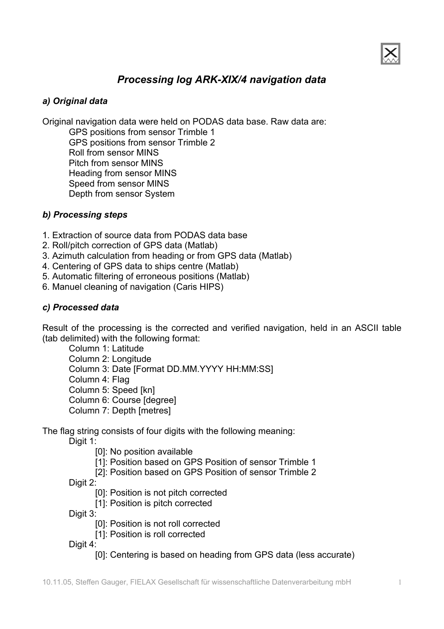

## *Processing log ARK-XIX/4 navigation data*

#### *a) Original data*

Original navigation data were held on PODAS data base. Raw data are: GPS positions from sensor Trimble 1 GPS positions from sensor Trimble 2 Roll from sensor MINS Pitch from sensor MINS Heading from sensor MINS Speed from sensor MINS Depth from sensor System

#### *b) Processing steps*

- 1. Extraction of source data from PODAS data base
- 2. Roll/pitch correction of GPS data (Matlab)
- 3. Azimuth calculation from heading or from GPS data (Matlab)
- 4. Centering of GPS data to ships centre (Matlab)
- 5. Automatic filtering of erroneous positions (Matlab)
- 6. Manuel cleaning of navigation (Caris HIPS)

#### *c) Processed data*

Result of the processing is the corrected and verified navigation, held in an ASCII table (tab delimited) with the following format:

Column 1: Latitude Column 2: Longitude Column 3: Date [Format DD.MM.YYYY HH:MM:SS] Column 4: Flag Column 5: Speed [kn] Column 6: Course [degree] Column 7: Depth [metres]

The flag string consists of four digits with the following meaning:

Digit 1:

- [0]: No position available
- [1]: Position based on GPS Position of sensor Trimble 1
- [2]: Position based on GPS Position of sensor Trimble 2

Digit 2:

- [0]: Position is not pitch corrected
- [1]: Position is pitch corrected

Digit 3:

- [0]: Position is not roll corrected
- [1]: Position is roll corrected

Digit 4:

[0]: Centering is based on heading from GPS data (less accurate)